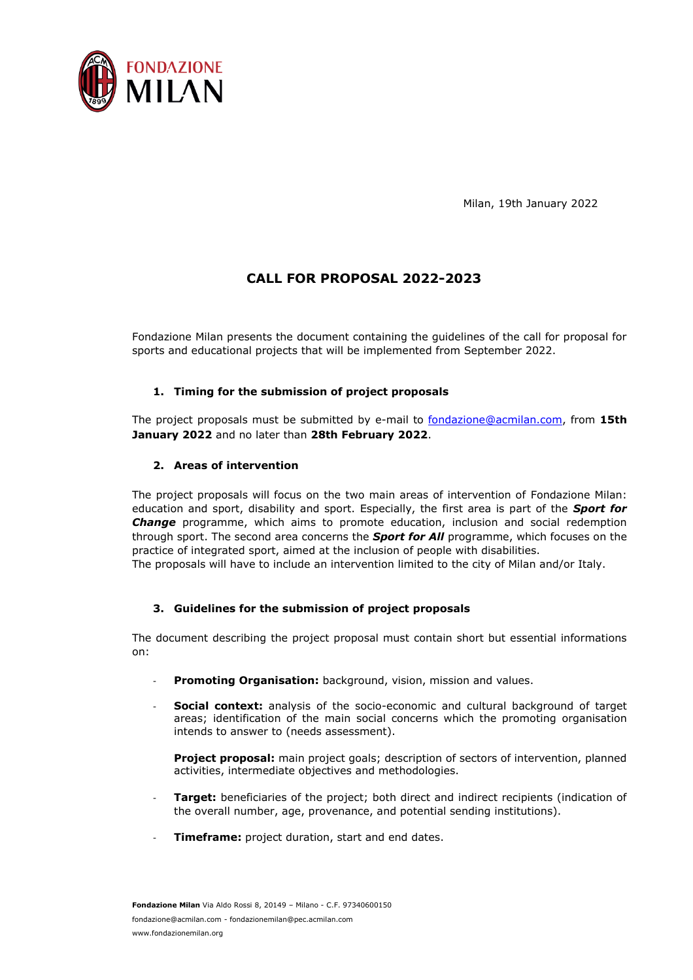

Milan, 19th January 2022

# **CALL FOR PROPOSAL 2022-2023**

Fondazione Milan presents the document containing the guidelines of the call for proposal for sports and educational projects that will be implemented from September 2022.

### **1. Timing for the submission of project proposals**

The project proposals must be submitted by e-mail to [fondazione@acmilan.com,](mailto:fondazione@acmilan.com) from **15th January 2022** and no later than **28th February 2022**.

#### **2. Areas of intervention**

The project proposals will focus on the two main areas of intervention of Fondazione Milan: education and sport, disability and sport. Especially, the first area is part of the *Sport for Change* programme, which aims to promote education, inclusion and social redemption through sport. The second area concerns the *Sport for All* programme, which focuses on the practice of integrated sport, aimed at the inclusion of people with disabilities.

The proposals will have to include an intervention limited to the city of Milan and/or Italy.

### **3. Guidelines for the submission of project proposals**

The document describing the project proposal must contain short but essential informations on:

- Promoting Organisation: background, vision, mission and values.
- **Social context:** analysis of the socio-economic and cultural background of target areas; identification of the main social concerns which the promoting organisation intends to answer to (needs assessment).

**Project proposal:** main project goals; description of sectors of intervention, planned activities, intermediate objectives and methodologies.

- **Target:** beneficiaries of the project; both direct and indirect recipients (indication of the overall number, age, provenance, and potential sending institutions).
- **Timeframe:** project duration, start and end dates.